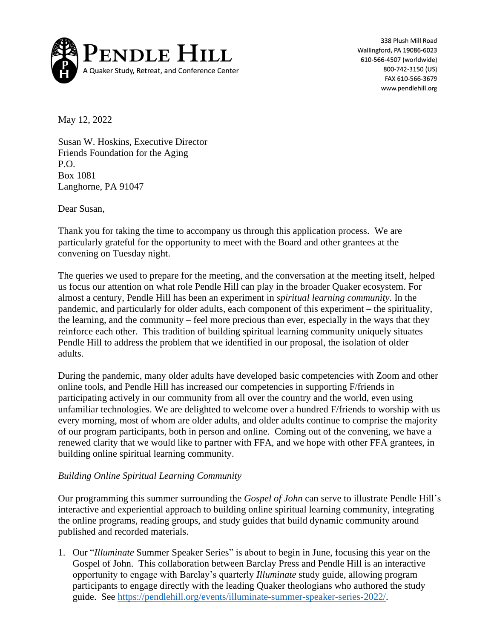

338 Plush Mill Road Wallingford, PA 19086-6023 610-566-4507 (worldwide) 800-742-3150 (US) FAX 610-566-3679 www.pendlehill.org

May 12, 2022

Susan W. Hoskins, Executive Director Friends Foundation for the Aging P.O. Box 1081 Langhorne, PA 91047

Dear Susan,

Thank you for taking the time to accompany us through this application process. We are particularly grateful for the opportunity to meet with the Board and other grantees at the convening on Tuesday night.

The queries we used to prepare for the meeting, and the conversation at the meeting itself, helped us focus our attention on what role Pendle Hill can play in the broader Quaker ecosystem. For almost a century, Pendle Hill has been an experiment in *spiritual learning community*. In the pandemic, and particularly for older adults, each component of this experiment – the spirituality, the learning, and the community – feel more precious than ever, especially in the ways that they reinforce each other. This tradition of building spiritual learning community uniquely situates Pendle Hill to address the problem that we identified in our proposal, the isolation of older adults.

During the pandemic, many older adults have developed basic competencies with Zoom and other online tools, and Pendle Hill has increased our competencies in supporting F/friends in participating actively in our community from all over the country and the world, even using unfamiliar technologies. We are delighted to welcome over a hundred F/friends to worship with us every morning, most of whom are older adults, and older adults continue to comprise the majority of our program participants, both in person and online. Coming out of the convening, we have a renewed clarity that we would like to partner with FFA, and we hope with other FFA grantees, in building online spiritual learning community.

## *Building Online Spiritual Learning Community*

Our programming this summer surrounding the *Gospel of John* can serve to illustrate Pendle Hill's interactive and experiential approach to building online spiritual learning community, integrating the online programs, reading groups, and study guides that build dynamic community around published and recorded materials.

1. Our "*Illuminate* Summer Speaker Series" is about to begin in June, focusing this year on the Gospel of John. This collaboration between Barclay Press and Pendle Hill is an interactive opportunity to engage with Barclay's quarterly *Illuminate* study guide, allowing program participants to engage directly with the leading Quaker theologians who authored the study guide. See [https://pendlehill.org/events/illuminate-summer-speaker-series-2022/.](https://pendlehill.org/events/illuminate-summer-speaker-series-2022/)